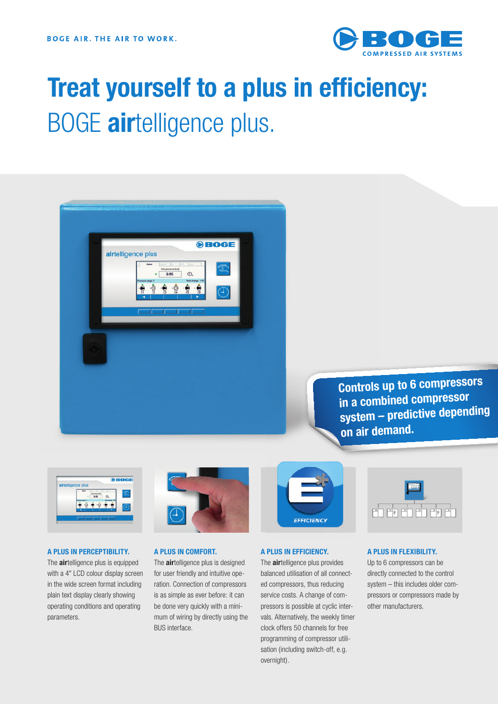

# **Treat yourself to a plus in efficiency:** BOGE **air**telligence plus.



**Controls up to 6 compressors in a combined compressor system – predictive depending on air demand.** 



## **A PLUS IN PERCEPTIBILITY.**

The **air**telligence plus is equipped with a 4" LCD colour display screen in the wide screen format including plain text display clearly showing operating conditions and operating parameters.



## **A PLUS IN COMFORT.**

The **air**telligence plus is designed for user friendly and intuitive operation. Connection of compressors is as simple as ever before: it can be done very quickly with a minimum of wiring by directly using the BUS interface.



#### **A PLUS IN EFFICIENCY.**

The **air**telligence plus provides balanced utilisation of all connected compressors, thus reducing service costs. A change of compressors is possible at cyclic intervals. Alternatively, the weekly timer clock offers 50 channels for free programming of compressor utilisation (including switch-off, e.g. overnight).



#### **A PLUS IN FLEXIBILITY.**

Up to 6 compressors can be directly connected to the control system – this includes older compressors or compressors made by other manufacturers.